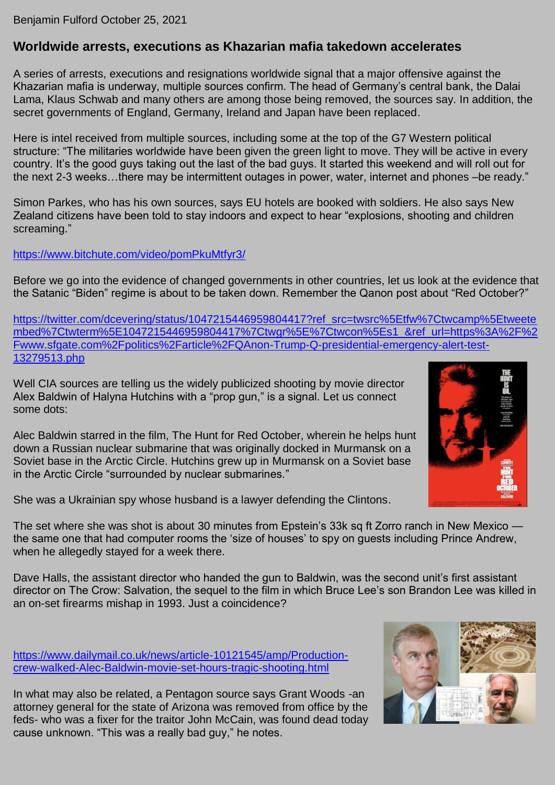Benjamin Fulford October 25, 2021

## **Worldwide arrests, executions as Khazarian mafia takedown accelerates**

A series of arrests, executions and resignations worldwide signal that a major offensive against the Khazarian mafia is underway, multiple sources confirm. The head of Germany's central bank, the Dalai Lama, Klaus Schwab and many others are among those being removed, the sources say. In addition, the secret governments of England, Germany, Ireland and Japan have been replaced.

Here is intel received from multiple sources, including some at the top of the G7 Western political structure: "The militaries worldwide have been given the green light to move. They will be active in every country. It's the good guys taking out the last of the bad guys. It started this weekend and will roll out for the next 2-3 weeks…there may be intermittent outages in power, water, internet and phones –be ready."

Simon Parkes, who has his own sources, says EU hotels are booked with soldiers. He also says New Zealand citizens have been told to stay indoors and expect to hear "explosions, shooting and children screaming."

## <https://www.bitchute.com/video/pomPkuMtfyr3/>

Before we go into the evidence of changed governments in other countries, let us look at the evidence that the Satanic "Biden" regime is about to be taken down. Remember the Qanon post about "Red October?"

[https://twitter.com/dcevering/status/1047215446959804417?ref\\_src=twsrc%5Etfw%7Ctwcamp%5Etweete](https://twitter.com/dcevering/status/1047215446959804417?ref_src=twsrc%5Etfw%7Ctwcamp%5Etweetembed%7Ctwterm%5E1047215446959804417%7Ctwgr%5E%7Ctwcon%5Es1_&ref_url=https%3A%2F%2Fwww.sfgate.com%2Fpolitics%2Farticle%2FQAnon-Trump-Q-presidential-emergency-alert-test-13279513.php) [mbed%7Ctwterm%5E1047215446959804417%7Ctwgr%5E%7Ctwcon%5Es1\\_&ref\\_url=https%3A%2F%2](https://twitter.com/dcevering/status/1047215446959804417?ref_src=twsrc%5Etfw%7Ctwcamp%5Etweetembed%7Ctwterm%5E1047215446959804417%7Ctwgr%5E%7Ctwcon%5Es1_&ref_url=https%3A%2F%2Fwww.sfgate.com%2Fpolitics%2Farticle%2FQAnon-Trump-Q-presidential-emergency-alert-test-13279513.php) [Fwww.sfgate.com%2Fpolitics%2Farticle%2FQAnon-Trump-Q-presidential-emergency-alert-test-](https://twitter.com/dcevering/status/1047215446959804417?ref_src=twsrc%5Etfw%7Ctwcamp%5Etweetembed%7Ctwterm%5E1047215446959804417%7Ctwgr%5E%7Ctwcon%5Es1_&ref_url=https%3A%2F%2Fwww.sfgate.com%2Fpolitics%2Farticle%2FQAnon-Trump-Q-presidential-emergency-alert-test-13279513.php)[13279513.php](https://twitter.com/dcevering/status/1047215446959804417?ref_src=twsrc%5Etfw%7Ctwcamp%5Etweetembed%7Ctwterm%5E1047215446959804417%7Ctwgr%5E%7Ctwcon%5Es1_&ref_url=https%3A%2F%2Fwww.sfgate.com%2Fpolitics%2Farticle%2FQAnon-Trump-Q-presidential-emergency-alert-test-13279513.php)

Well CIA sources are telling us the widely publicized shooting by movie director Alex Baldwin of Halyna Hutchins with a "prop gun," is a signal. Let us connect some dots:

Alec Baldwin starred in the film, The Hunt for Red October, wherein he helps hunt down a Russian nuclear submarine that was originally docked in Murmansk on a Soviet base in the Arctic Circle. Hutchins grew up in Murmansk on a Soviet base in the Arctic Circle "surrounded by nuclear submarines."

She was a Ukrainian spy whose husband is a lawyer defending the Clintons.

The set where she was shot is about 30 minutes from Epstein's 33k sq ft Zorro ranch in New Mexico the same one that had computer rooms the 'size of houses' to spy on guests including Prince Andrew, when he allegedly stayed for a week there.

Dave Halls, the assistant director who handed the gun to Baldwin, was the second unit's first assistant director on The Crow: Salvation, the sequel to the film in which Bruce Lee's son Brandon Lee was killed in an on-set firearms mishap in 1993. Just a coincidence?

[https://www.dailymail.co.uk/news/article-10121545/amp/Production](https://www.dailymail.co.uk/news/article-10121545/amp/Production-crew-walked-Alec-Baldwin-movie-set-hours-tragic-shooting.html)[crew-walked-Alec-Baldwin-movie-set-hours-tragic-shooting.html](https://www.dailymail.co.uk/news/article-10121545/amp/Production-crew-walked-Alec-Baldwin-movie-set-hours-tragic-shooting.html)

In what may also be related, a Pentagon source says Grant Woods -an attorney general for the state of Arizona was removed from office by the feds- who was a fixer for the traitor John McCain, was found dead today cause unknown. "This was a really bad guy," he notes.



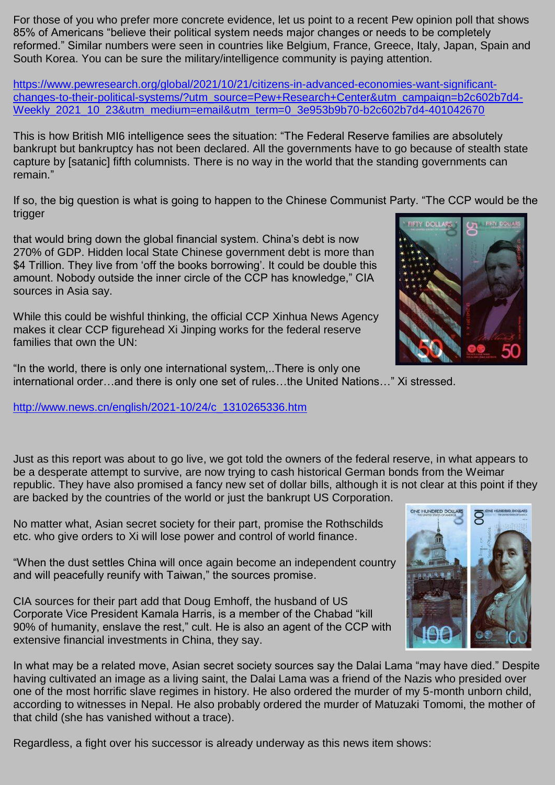For those of you who prefer more concrete evidence, let us point to a recent Pew opinion poll that shows 85% of Americans "believe their political system needs major changes or needs to be completely reformed." Similar numbers were seen in countries like Belgium, France, Greece, Italy, Japan, Spain and South Korea. You can be sure the military/intelligence community is paying attention.

[https://www.pewresearch.org/global/2021/10/21/citizens-in-advanced-economies-want-significant](https://www.pewresearch.org/global/2021/10/21/citizens-in-advanced-economies-want-significant-changes-to-their-political-systems/?utm_source=Pew+Research+Center&utm_campaign=b2c602b7d4-Weekly_2021_10_23&utm_medium=email&utm_term=0_3e953b9b70-b2c602b7d4-401042670)[changes-to-their-political-systems/?utm\\_source=Pew+Research+Center&utm\\_campaign=b2c602b7d4-](https://www.pewresearch.org/global/2021/10/21/citizens-in-advanced-economies-want-significant-changes-to-their-political-systems/?utm_source=Pew+Research+Center&utm_campaign=b2c602b7d4-Weekly_2021_10_23&utm_medium=email&utm_term=0_3e953b9b70-b2c602b7d4-401042670) [Weekly\\_2021\\_10\\_23&utm\\_medium=email&utm\\_term=0\\_3e953b9b70-b2c602b7d4-401042670](https://www.pewresearch.org/global/2021/10/21/citizens-in-advanced-economies-want-significant-changes-to-their-political-systems/?utm_source=Pew+Research+Center&utm_campaign=b2c602b7d4-Weekly_2021_10_23&utm_medium=email&utm_term=0_3e953b9b70-b2c602b7d4-401042670)

This is how British MI6 intelligence sees the situation: "The Federal Reserve families are absolutely bankrupt but bankruptcy has not been declared. All the governments have to go because of stealth state capture by [satanic] fifth columnists. There is no way in the world that the standing governments can remain."

If so, the big question is what is going to happen to the Chinese Communist Party. "The CCP would be the trigger

that would bring down the global financial system. China's debt is now 270% of GDP. Hidden local State Chinese government debt is more than \$4 Trillion. They live from 'off the books borrowing'. It could be double this amount. Nobody outside the inner circle of the CCP has knowledge," CIA sources in Asia say.

While this could be wishful thinking, the official CCP Xinhua News Agency makes it clear CCP figurehead Xi Jinping works for the federal reserve families that own the UN:

"In the world, there is only one international system,..There is only one international order…and there is only one set of rules…the United Nations…" Xi stressed.

[http://www.news.cn/english/2021-10/24/c\\_1310265336.htm](http://www.news.cn/english/2021-10/24/c_1310265336.htm)

Just as this report was about to go live, we got told the owners of the federal reserve, in what appears to be a desperate attempt to survive, are now trying to cash historical German bonds from the Weimar republic. They have also promised a fancy new set of dollar bills, although it is not clear at this point if they are backed by the countries of the world or just the bankrupt US Corporation.

No matter what, Asian secret society for their part, promise the Rothschilds etc. who give orders to Xi will lose power and control of world finance.

"When the dust settles China will once again become an independent country and will peacefully reunify with Taiwan," the sources promise.

CIA sources for their part add that Doug Emhoff, the husband of US Corporate Vice President Kamala Harris, is a member of the Chabad "kill 90% of humanity, enslave the rest," cult. He is also an agent of the CCP with extensive financial investments in China, they say.

In what may be a related move, Asian secret society sources say the Dalai Lama "may have died." Despite having cultivated an image as a living saint, the Dalai Lama was a friend of the Nazis who presided over one of the most horrific slave regimes in history. He also ordered the murder of my 5-month unborn child, according to witnesses in Nepal. He also probably ordered the murder of Matuzaki Tomomi, the mother of that child (she has vanished without a trace).

Regardless, a fight over his successor is already underway as this news item shows:





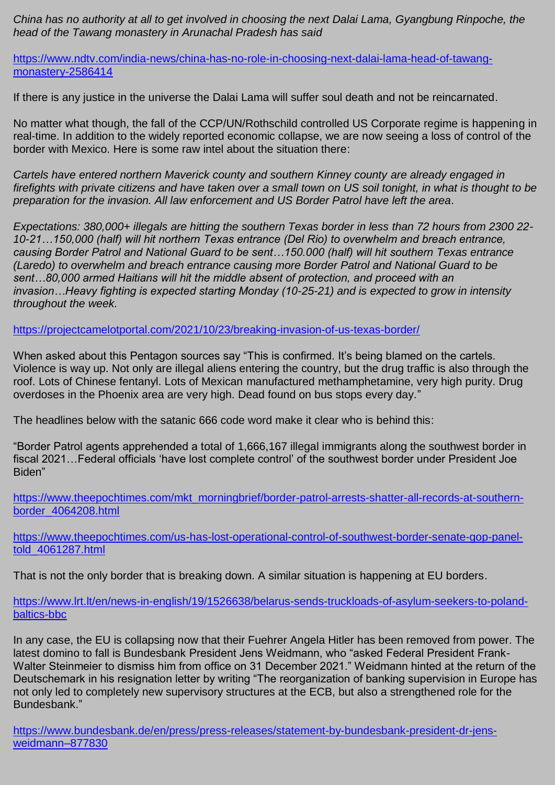*China has no authority at all to get involved in choosing the next Dalai Lama, Gyangbung Rinpoche, the head of the Tawang monastery in Arunachal Pradesh has said*

[https://www.ndtv.com/india-news/china-has-no-role-in-choosing-next-dalai-lama-head-of-tawang](https://www.ndtv.com/india-news/china-has-no-role-in-choosing-next-dalai-lama-head-of-tawang-monastery-2586414)[monastery-2586414](https://www.ndtv.com/india-news/china-has-no-role-in-choosing-next-dalai-lama-head-of-tawang-monastery-2586414)

If there is any justice in the universe the Dalai Lama will suffer soul death and not be reincarnated.

No matter what though, the fall of the CCP/UN/Rothschild controlled US Corporate regime is happening in real-time. In addition to the widely reported economic collapse, we are now seeing a loss of control of the border with Mexico. Here is some raw intel about the situation there:

*Cartels have entered northern Maverick county and southern Kinney county are already engaged in firefights with private citizens and have taken over a small town on US soil tonight, in what is thought to be preparation for the invasion. All law enforcement and US Border Patrol have left the area.*

*Expectations: 380,000+ illegals are hitting the southern Texas border in less than 72 hours from 2300 22- 10-21…150,000 (half) will hit northern Texas entrance (Del Rio) to overwhelm and breach entrance, causing Border Patrol and National Guard to be sent…150.000 (half) will hit southern Texas entrance (Laredo) to overwhelm and breach entrance causing more Border Patrol and National Guard to be sent…80,000 armed Haitians will hit the middle absent of protection, and proceed with an invasion…Heavy fighting is expected starting Monday (10-25-21) and is expected to grow in intensity throughout the week.*

<https://projectcamelotportal.com/2021/10/23/breaking-invasion-of-us-texas-border/>

When asked about this Pentagon sources say "This is confirmed. It's being blamed on the cartels. Violence is way up. Not only are illegal aliens entering the country, but the drug traffic is also through the roof. Lots of Chinese fentanyl. Lots of Mexican manufactured methamphetamine, very high purity. Drug overdoses in the Phoenix area are very high. Dead found on bus stops every day."

The headlines below with the satanic 666 code word make it clear who is behind this:

"Border Patrol agents apprehended a total of 1,666,167 illegal immigrants along the southwest border in fiscal 2021…Federal officials 'have lost complete control' of the southwest border under President Joe Biden"

[https://www.theepochtimes.com/mkt\\_morningbrief/border-patrol-arrests-shatter-all-records-at-southern](https://www.theepochtimes.com/mkt_morningbrief/border-patrol-arrests-shatter-all-records-at-southern-border_4064208.html)[border\\_4064208.html](https://www.theepochtimes.com/mkt_morningbrief/border-patrol-arrests-shatter-all-records-at-southern-border_4064208.html)

[https://www.theepochtimes.com/us-has-lost-operational-control-of-southwest-border-senate-gop-panel](https://www.theepochtimes.com/us-has-lost-operational-control-of-southwest-border-senate-gop-panel-told_4061287.html)[told\\_4061287.html](https://www.theepochtimes.com/us-has-lost-operational-control-of-southwest-border-senate-gop-panel-told_4061287.html)

That is not the only border that is breaking down. A similar situation is happening at EU borders.

[https://www.lrt.lt/en/news-in-english/19/1526638/belarus-sends-truckloads-of-asylum-seekers-to-poland](https://www.lrt.lt/en/news-in-english/19/1526638/belarus-sends-truckloads-of-asylum-seekers-to-poland-baltics-bbc)[baltics-bbc](https://www.lrt.lt/en/news-in-english/19/1526638/belarus-sends-truckloads-of-asylum-seekers-to-poland-baltics-bbc)

In any case, the EU is collapsing now that their Fuehrer Angela Hitler has been removed from power. The latest domino to fall is Bundesbank President Jens Weidmann, who "asked Federal President Frank-Walter Steinmeier to dismiss him from office on 31 December 2021." Weidmann hinted at the return of the Deutschemark in his resignation letter by writing "The reorganization of banking supervision in Europe has not only led to completely new supervisory structures at the ECB, but also a strengthened role for the Bundesbank."

[https://www.bundesbank.de/en/press/press-releases/statement-by-bundesbank-president-dr-jens](https://www.bundesbank.de/en/press/press-releases/statement-by-bundesbank-president-dr-jens-weidmann--877830)[weidmann–877830](https://www.bundesbank.de/en/press/press-releases/statement-by-bundesbank-president-dr-jens-weidmann--877830)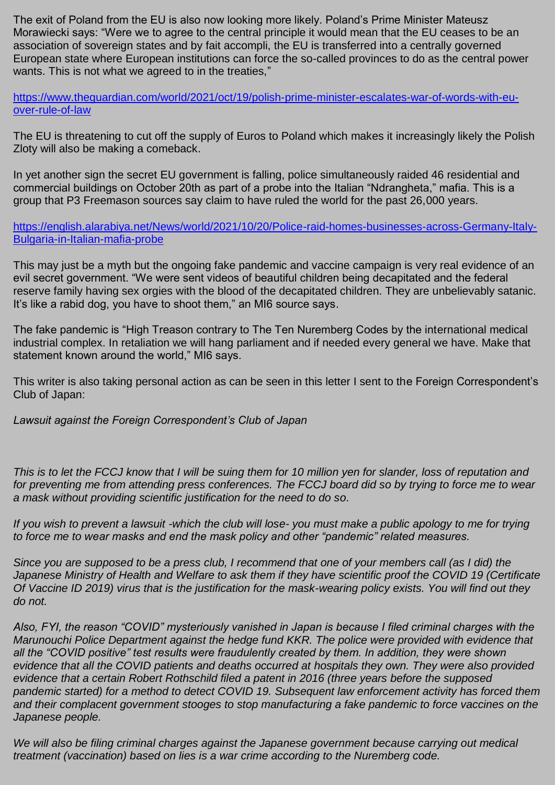The exit of Poland from the EU is also now looking more likely. Poland's Prime Minister Mateusz Morawiecki says: "Were we to agree to the central principle it would mean that the EU ceases to be an association of sovereign states and by fait accompli, the EU is transferred into a centrally governed European state where European institutions can force the so-called provinces to do as the central power wants. This is not what we agreed to in the treaties,"

[https://www.theguardian.com/world/2021/oct/19/polish-prime-minister-escalates-war-of-words-with-eu](https://www.theguardian.com/world/2021/oct/19/polish-prime-minister-escalates-war-of-words-with-eu-over-rule-of-law)[over-rule-of-law](https://www.theguardian.com/world/2021/oct/19/polish-prime-minister-escalates-war-of-words-with-eu-over-rule-of-law)

The EU is threatening to cut off the supply of Euros to Poland which makes it increasingly likely the Polish Zloty will also be making a comeback.

In yet another sign the secret EU government is falling, police simultaneously raided 46 residential and commercial buildings on October 20th as part of a probe into the Italian "Ndrangheta," mafia. This is a group that P3 Freemason sources say claim to have ruled the world for the past 26,000 years.

[https://english.alarabiya.net/News/world/2021/10/20/Police-raid-homes-businesses-across-Germany-Italy-](https://english.alarabiya.net/News/world/2021/10/20/Police-raid-homes-businesses-across-Germany-Italy-Bulgaria-in-Italian-mafia-probe)[Bulgaria-in-Italian-mafia-probe](https://english.alarabiya.net/News/world/2021/10/20/Police-raid-homes-businesses-across-Germany-Italy-Bulgaria-in-Italian-mafia-probe)

This may just be a myth but the ongoing fake pandemic and vaccine campaign is very real evidence of an evil secret government. "We were sent videos of beautiful children being decapitated and the federal reserve family having sex orgies with the blood of the decapitated children. They are unbelievably satanic. It's like a rabid dog, you have to shoot them," an MI6 source says.

The fake pandemic is "High Treason contrary to The Ten Nuremberg Codes by the international medical industrial complex. In retaliation we will hang parliament and if needed every general we have. Make that statement known around the world," MI6 says.

This writer is also taking personal action as can be seen in this letter I sent to the Foreign Correspondent's Club of Japan:

*Lawsuit against the Foreign Correspondent's Club of Japan*

*This is to let the FCCJ know that I will be suing them for 10 million yen for slander, loss of reputation and for preventing me from attending press conferences. The FCCJ board did so by trying to force me to wear a mask without providing scientific justification for the need to do so.*

*If you wish to prevent a lawsuit -which the club will lose- you must make a public apology to me for trying to force me to wear masks and end the mask policy and other "pandemic" related measures.*

*Since you are supposed to be a press club, I recommend that one of your members call (as I did) the Japanese Ministry of Health and Welfare to ask them if they have scientific proof the COVID 19 (Certificate Of Vaccine ID 2019) virus that is the justification for the mask-wearing policy exists. You will find out they do not.*

*Also, FYI, the reason "COVID" mysteriously vanished in Japan is because I filed criminal charges with the Marunouchi Police Department against the hedge fund KKR. The police were provided with evidence that all the "COVID positive" test results were fraudulently created by them. In addition, they were shown evidence that all the COVID patients and deaths occurred at hospitals they own. They were also provided evidence that a certain Robert Rothschild filed a patent in 2016 (three years before the supposed pandemic started) for a method to detect COVID 19. Subsequent law enforcement activity has forced them and their complacent government stooges to stop manufacturing a fake pandemic to force vaccines on the Japanese people.*

*We will also be filing criminal charges against the Japanese government because carrying out medical treatment (vaccination) based on lies is a war crime according to the Nuremberg code.*